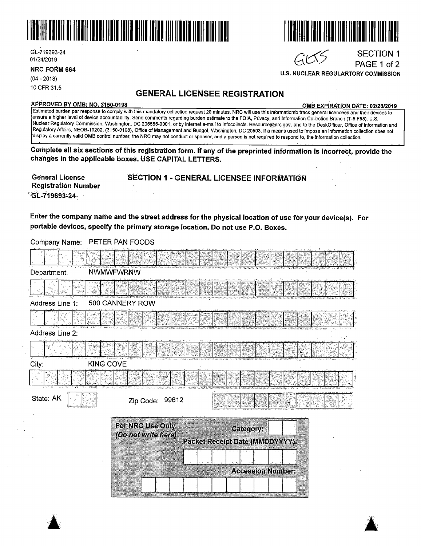

Gl-719693-24 01/24/2019

 $\blacktriangle$ 

10 CFR 31.5

## **GENERAL LICENSEE REGISTRATION**

#### **APPROVED BY 0MB: NO. 3150-0198 OrillB EXPIRATION DATE: 02/28/2019**

SECTION 1 PAGE 1 of 2

Estimated burden per response to comply with this mandatory collection request 20 minutes. NRC will use this informationfo track general licencees and their devices to ensure a higher level of device accountability. Send comments regarding burden estimate to the FOIA, Privacy, and Information Collection Branch (T-5 F53), U.S. Nuclear Regulatory Commission, Washington, DC 205555-0001, or by internet e-mail to lnfocollects. Resource@nrc.gov, and to the DeskOfficer, Office of Information and Regulatory Affairs, NEOB-10202, (3150-0198), Office of Management and Budget, Washington, DC 20503. If a means used to impose an information collection does not ·display a cu'rrently valid 0MB control number, the NRC may not conduct or sponsor, and a person is not required to respond to, the information collection.

**Complete all six sections of this registration form. If any of the preprinted information is incorrec.t, provide the cha·nges in the applicable boxes. USE CAPITAL LETTERS.** 

| <b>General License</b>     | <b>SECTION 1 - GENERAL LICENSEE INFORMATION</b> |
|----------------------------|-------------------------------------------------|
| <b>Registration Number</b> |                                                 |
| GL-719693-24               |                                                 |

Enter the company name and the street address for the physical location of use for your device(s). For portable devices, specify the primary storage location. Do not use P.O. Boxes.

| Department:        | <b>NWMWFWRNW</b>                        |                                                        |  |
|--------------------|-----------------------------------------|--------------------------------------------------------|--|
|                    |                                         |                                                        |  |
| Address Line 1:    | 500 CANNERY ROW                         |                                                        |  |
|                    |                                         |                                                        |  |
| Address Line 2:    |                                         |                                                        |  |
|                    |                                         |                                                        |  |
| KING COVE<br>City: |                                         |                                                        |  |
|                    |                                         |                                                        |  |
| State: AK          | Zip Code: 99612                         |                                                        |  |
|                    | For NRC Use Only<br>(Do not write here) | Category:                                              |  |
|                    |                                         | Packet Receipt Date (MMDDYYYY):                        |  |
|                    |                                         |                                                        |  |
|                    |                                         | <b>Accession Number:</b>                               |  |
|                    |                                         | <b>The Committee of the Committee of the Committee</b> |  |
|                    |                                         |                                                        |  |

Company Name: PETER PAN FOODS







**U.S. NUCLEAR REGULARTORY COMMISSION** 

 $GCS$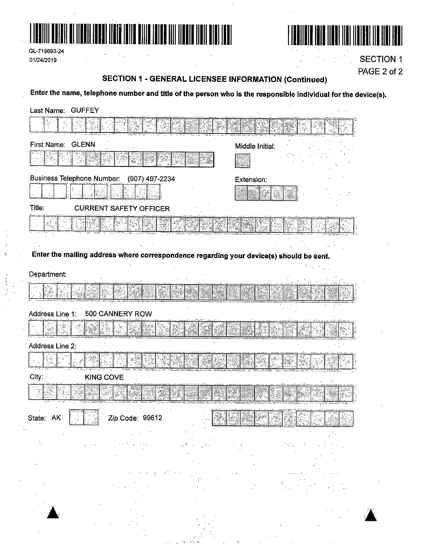

 $\sim$   $\sim$ 

 $\sim$   $\frac{1}{2}$ 

GL-719693-24 01/24/2019

k

أرجعته  $\frac{1}{2}$ 



**SECTION 1** PAGE 2 of 2

### **SECTION 1 - GENERAL LICENSEE INFORMATION (Continued)**

J.

Enter the name, telephone number and title of the person who is the responsible individual for the device(s).

| Last Name: GUFFEY                                                                       |                              |
|-----------------------------------------------------------------------------------------|------------------------------|
|                                                                                         |                              |
| First Name: GLENN                                                                       | Middle Initial:              |
|                                                                                         |                              |
| <b>Business Telephone Number:</b><br>(907) 497-2234                                     | Extension:                   |
|                                                                                         |                              |
| Title:<br><b>CURRENT SAFETY OFFICER</b>                                                 |                              |
|                                                                                         |                              |
|                                                                                         |                              |
| Enter the mailing address where correspondence regarding your device(s) should be sent. |                              |
| Department:                                                                             |                              |
|                                                                                         |                              |
|                                                                                         |                              |
| 500 CANNERY ROW<br>Address Line 1:                                                      |                              |
|                                                                                         |                              |
| Address Line 2:                                                                         |                              |
|                                                                                         |                              |
| City:<br><b>KING COVE</b>                                                               |                              |
|                                                                                         |                              |
| ابوس مهابه شبينه<br>State: AK<br>Zip Code: 99612                                        | फिल अक्टोबोलेट ने इस दिखाएँ। |
|                                                                                         |                              |
|                                                                                         |                              |
|                                                                                         |                              |
|                                                                                         |                              |
|                                                                                         |                              |
|                                                                                         |                              |
|                                                                                         |                              |
|                                                                                         |                              |
|                                                                                         |                              |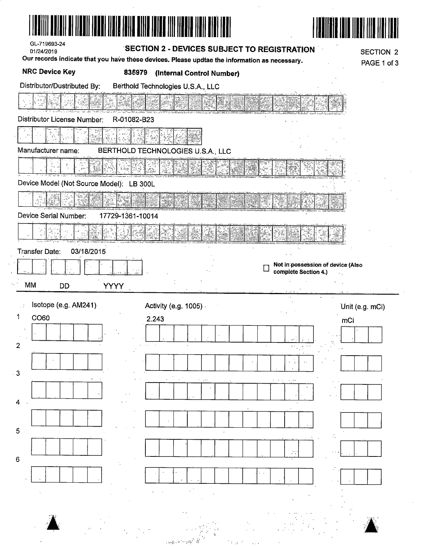| GL-719693-24<br>01/24/2019               |                  | SECTION 2 - DEVICES SUBJECT TO REGISTRATION                                                   |                                                           | SECTION 2              |
|------------------------------------------|------------------|-----------------------------------------------------------------------------------------------|-----------------------------------------------------------|------------------------|
|                                          |                  | Our records indicate that you have these devices. Please updtae the information as necessary. |                                                           | PAGE 1 of 3            |
| <b>NRC Device Key</b>                    | 835979           | (Internal Control Number)                                                                     |                                                           |                        |
| Distributor/Dustributed By:              |                  | Berthold Technologies U.S.A., LLC                                                             |                                                           |                        |
|                                          |                  |                                                                                               |                                                           |                        |
| Distributor License Number:              | R-01082-B23      |                                                                                               |                                                           |                        |
| Manufacturer name:                       |                  | BERTHOLD TECHNOLOGIES U.S.A., LLC                                                             |                                                           |                        |
|                                          |                  |                                                                                               |                                                           |                        |
| Device Model (Not Source Model): LB 300L |                  |                                                                                               |                                                           |                        |
|                                          |                  |                                                                                               |                                                           |                        |
| Device Serial Number:                    | 17729-1361-10014 |                                                                                               |                                                           |                        |
|                                          |                  |                                                                                               |                                                           |                        |
| <b>Transfer Date:</b><br>03/18/2015      |                  |                                                                                               |                                                           |                        |
|                                          |                  |                                                                                               | Not in possession of device (Also<br>complete Section 4.) |                        |
| <b>MM</b><br><b>DD</b>                   | <b>YYYY</b>      |                                                                                               |                                                           |                        |
| Isotope (e.g. AM241)                     |                  |                                                                                               |                                                           |                        |
| CO60                                     |                  | Activity (e.g. 1005) -<br>2.243                                                               |                                                           | Unit (e.g. mCi)<br>mCi |
|                                          |                  |                                                                                               |                                                           |                        |
|                                          |                  |                                                                                               |                                                           |                        |
| 2                                        |                  |                                                                                               |                                                           |                        |
|                                          |                  |                                                                                               |                                                           |                        |
| - 3                                      |                  |                                                                                               |                                                           |                        |
|                                          |                  |                                                                                               |                                                           |                        |
| 4                                        |                  |                                                                                               |                                                           |                        |
|                                          |                  |                                                                                               |                                                           |                        |
| 5                                        |                  |                                                                                               |                                                           |                        |
|                                          |                  |                                                                                               |                                                           |                        |
| 6                                        |                  |                                                                                               |                                                           |                        |
|                                          |                  |                                                                                               |                                                           |                        |
|                                          |                  |                                                                                               |                                                           |                        |
|                                          |                  |                                                                                               |                                                           |                        |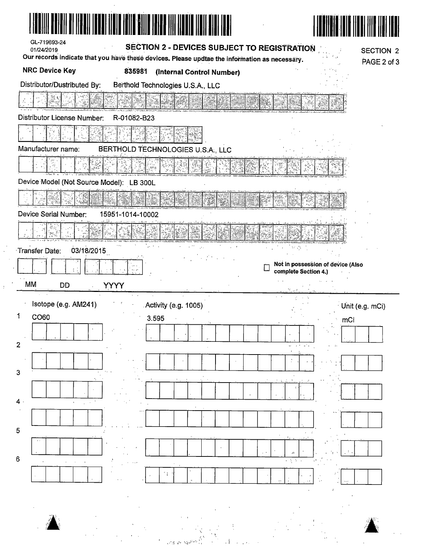| GL-719693-24<br>01/24/2019               |                  | <b>SECTION 2 - DEVICES SUBJECT TO REGISTRATION</b>                                            |                                                           | <b>SECTION 2</b> |
|------------------------------------------|------------------|-----------------------------------------------------------------------------------------------|-----------------------------------------------------------|------------------|
| <b>NRC Device Key</b>                    | 835981           | Our records indicate that you have these devices. Please updtae the information as necessary. |                                                           | PAGE 2 of 3      |
| Distributor/Dustributed By:              |                  | (Internal Control Number)<br>Berthold Technologies U.S.A., LLC                                |                                                           |                  |
|                                          |                  |                                                                                               |                                                           |                  |
| Distributor License Number:              | R-01082-B23      |                                                                                               |                                                           |                  |
|                                          |                  |                                                                                               |                                                           |                  |
| Manufacturer name:                       |                  | BERTHOLD TECHNOLOGIES U.S.A., LLC                                                             |                                                           |                  |
|                                          |                  |                                                                                               |                                                           |                  |
| Device Model (Not Source Model): LB 300L |                  |                                                                                               |                                                           |                  |
|                                          |                  |                                                                                               |                                                           |                  |
| Device Serial Number:                    | 15951-1014-10002 |                                                                                               |                                                           |                  |
|                                          |                  |                                                                                               |                                                           |                  |
| 03/18/2015<br>Transfer Date:             |                  |                                                                                               |                                                           |                  |
|                                          |                  |                                                                                               | Not in possession of device (Also<br>complete Section 4.) |                  |
|                                          |                  |                                                                                               |                                                           |                  |
| MM<br><b>DD</b>                          | <b>YYYY</b>      |                                                                                               |                                                           |                  |
| Isotope (e.g. AM241)                     |                  | Activity (e.g. 1005)                                                                          |                                                           | Unit (e.g. mCi)  |
| 1<br>CO60                                | 3.595            |                                                                                               | mCi                                                       |                  |
|                                          |                  |                                                                                               |                                                           |                  |
| 2                                        |                  |                                                                                               |                                                           |                  |
| 3                                        |                  |                                                                                               |                                                           |                  |
|                                          |                  |                                                                                               |                                                           |                  |
| 4                                        |                  |                                                                                               |                                                           |                  |
|                                          |                  |                                                                                               |                                                           |                  |
| 5                                        |                  |                                                                                               |                                                           |                  |
| 6                                        |                  |                                                                                               |                                                           |                  |
|                                          |                  |                                                                                               |                                                           |                  |
|                                          |                  |                                                                                               |                                                           |                  |
|                                          |                  |                                                                                               |                                                           |                  |
|                                          |                  |                                                                                               |                                                           |                  |

 $\sim 10^6$ 

 $\frac{1}{2}$ 

| <br>t |   |  |
|-------|---|--|
| ÿ.    |   |  |
| ă.    |   |  |
|       |   |  |
|       |   |  |
|       | ٦ |  |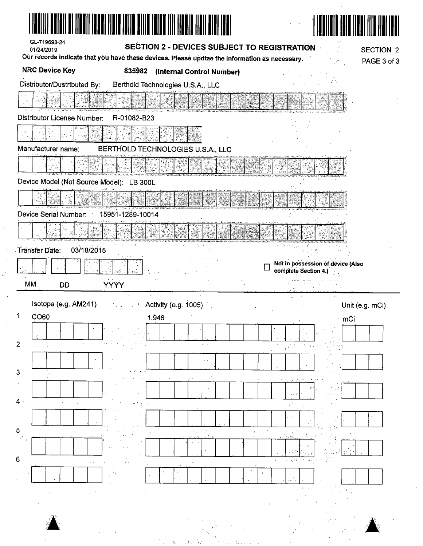| ZI ITENTI TENET ITETE TOITE RITTE TOINE TIIT TARET RITTE                                      |                                   |
|-----------------------------------------------------------------------------------------------|-----------------------------------|
| GL-719693-24<br><b>SECTION 2 - DEVICES SUBJECT TO REGISTRATION</b><br>01/24/2019              | <b>SECTION 2</b>                  |
| Our records indicate that you have these devices. Please updtae the information as necessary. | PAGE 3 of 3                       |
| <b>NRC Device Key</b><br>835982<br>(Internal Control Number)                                  |                                   |
| Distributor/Dustributed By:<br>Berthold Technologies U.S.A., LLC                              |                                   |
|                                                                                               |                                   |
| Distributor License Number:<br>R-01082-B23                                                    |                                   |
|                                                                                               |                                   |
| Manufacturer name:<br>BERTHOLD TECHNOLOGIES U.S.A., LLC                                       |                                   |
|                                                                                               |                                   |
| Device Model (Not Source Model): LB 300L                                                      |                                   |
|                                                                                               |                                   |
| Device Serial Number:<br>15951-1289-10014                                                     |                                   |
|                                                                                               |                                   |
| 03/18/2015<br>Transfer Date:                                                                  |                                   |
|                                                                                               | Not in possession of device (Also |
| complete Section 4.)<br><b>YYYY</b><br>MM<br><b>DD</b>                                        |                                   |
|                                                                                               |                                   |
| Isotope (e.g. AM241)<br>Activity (e.g. 1005)<br>$\Gamma$<br>tij u<br>CO60<br>1.946            | Unit (e.g. mCi)<br>mĈi            |
|                                                                                               |                                   |
|                                                                                               |                                   |
| $\mathbf{2}$                                                                                  |                                   |
|                                                                                               |                                   |
| 3                                                                                             |                                   |
|                                                                                               |                                   |
| $4 -$                                                                                         |                                   |
|                                                                                               |                                   |
| 5                                                                                             |                                   |
| $6\phantom{1}6$                                                                               |                                   |
|                                                                                               |                                   |
|                                                                                               |                                   |
|                                                                                               |                                   |
|                                                                                               |                                   |

 $\mathcal{A}^{\mathcal{A}}$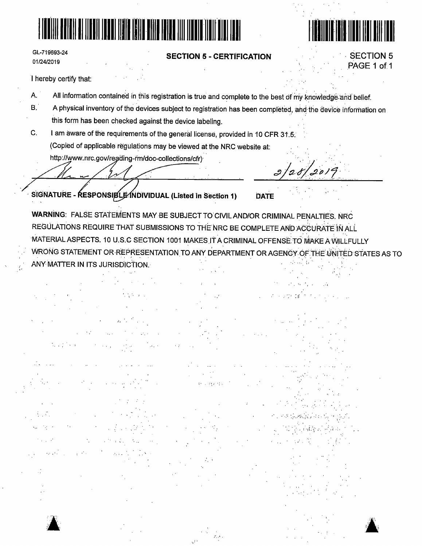

GL-719693-24 01/24/2019

#### **SECTION 5 - CERTIFICATION**



**SECTION 5** 

PAGE 1 of 1

I hereby certify that:

- Α. All information contained in this registration is true and complete to the best of my knowledge and belief.
- $B^{\prime}$ A physical inventory of the devices subject to registration has been completed, and the device information on this form has been checked against the device labeling.
- C. I am aware of the requirements of the general license, provided in 10 CFR 31.5. (Copied of applicable regulations may be viewed at the NRC website at:

http://www.nrc.gov/reading-rm/doc-collections/cfr)

 $2/28/2019$ 

SIGNATURE - RESPONSIBLE INDIVIDUAL (Listed in Section 1)

**DATE** 

WARNING: FALSE STATEMENTS MAY BE SUBJECT TO CIVIL AND/OR CRIMINAL PENALTIES. NRC REGULATIONS REQUIRE THAT SUBMISSIONS TO THE NRC BE COMPLETE AND ACCURATE IN ALL MATERIAL ASPECTS. 10 U.S.C SECTION 1001 MAKES IT A CRIMINAL OFFENSE TO MAKE A WILLFULLY WRONG STATEMENT OR REPRESENTATION TO ANY DEPARTMENT OR AGENCY OF THE UNITED STATES AS TO ANY MATTER IN ITS JURISDICTION.